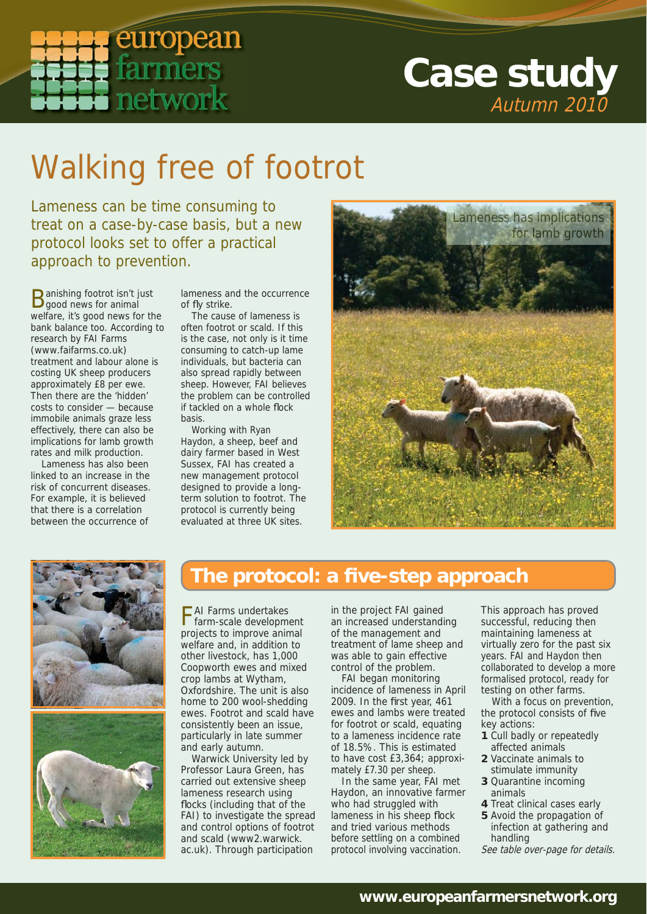

## **Case study** Autumn 2010

# Walking free of footrot

Lameness can be time consuming to treat on a case-by-case basis, but a new protocol looks set to offer a practical approach to prevention.

Banishing footrot isn't just good news for animal welfare, it's good news for the bank balance too. According to research by FAI Farms (www.faifarms.co.uk) treatment and labour alone is costing UK sheep producers approximately £8 per ewe. Then there are the 'hidden' costs to consider — because immobile animals graze less effectively, there can also be implications for lamb growth rates and milk production.

Lameness has also been linked to an increase in the risk of concurrent diseases. For example, it is believed that there is a correlation between the occurrence of

lameness and the occurrence of fly strike.

The cause of lameness is often footrot or scald. If this is the case, not only is it time consuming to catch-up lame individuals, but bacteria can also spread rapidly between sheep. However, FAI believes the problem can be controlled if tackled on a whole flock basis.

Working with Ryan Haydon, a sheep, beef and dairy farmer based in West Sussex, FAI has created a new management protocol designed to provide a longterm solution to footrot. The protocol is currently being evaluated at three UK sites.





### **The protocol: a fi ve-step approach**

FAI Farms undertakes farm-scale development projects to improve animal welfare and, in addition to other livestock, has 1,000 Coopworth ewes and mixed crop lambs at Wytham, Oxfordshire. The unit is also home to 200 wool-shedding ewes. Footrot and scald have consistently been an issue, particularly in late summer and early autumn.

Warwick University led by Professor Laura Green, has carried out extensive sheep lameness research using flocks (including that of the FAI) to investigate the spread and control options of footrot and scald (www2.warwick. ac.uk). Through participation

in the project FAI gained an increased understanding of the management and treatment of lame sheep and was able to gain effective control of the problem.

FAI began monitoring incidence of lameness in April 2009. In the first year,  $461$ ewes and lambs were treated for footrot or scald, equating to a lameness incidence rate of 18.5%. This is estimated to have cost £3,364; approximately £7.30 per sheep.

In the same year, FAI met Haydon, an innovative farmer who had struggled with lameness in his sheep flock and tried various methods before settling on a combined protocol involving vaccination.

This approach has proved successful, reducing then maintaining lameness at virtually zero for the past six years. FAI and Haydon then collaborated to develop a more formalised protocol, ready for testing on other farms.

With a focus on prevention, the protocol consists of five key actions:

- **1** Cull badly or repeatedly affected animals
- **2** Vaccinate animals to stimulate immunity
- **3** Quarantine incoming animals
- **4** Treat clinical cases early
- **5** Avoid the propagation of infection at gathering and handling
- See table over-page for details.